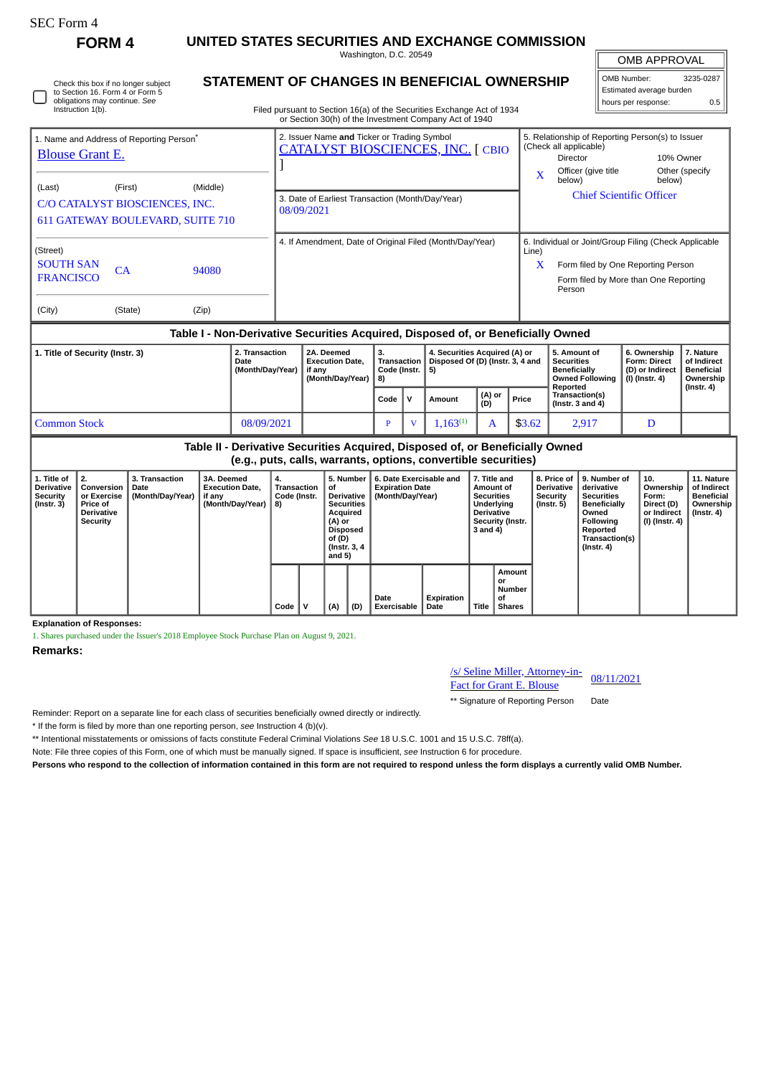| <b>SEC Form 4</b>                                                                                                                                                 | FORM 4                                                                              |                                                                                                                                                  |                                                |                  |                                                          |                                                                                                                                            |                                                                                                                                          |              |                                                                       |                                                                         | UNITED STATES SECURITIES AND EXCHANGE COMMISSION |                                                                                                                                |                                                          |                                                                                                                                                                         |                                                                                                                                                          |                                                                                                                                                |                                                            |                                                                          |                                                                                 |
|-------------------------------------------------------------------------------------------------------------------------------------------------------------------|-------------------------------------------------------------------------------------|--------------------------------------------------------------------------------------------------------------------------------------------------|------------------------------------------------|------------------|----------------------------------------------------------|--------------------------------------------------------------------------------------------------------------------------------------------|------------------------------------------------------------------------------------------------------------------------------------------|--------------|-----------------------------------------------------------------------|-------------------------------------------------------------------------|--------------------------------------------------|--------------------------------------------------------------------------------------------------------------------------------|----------------------------------------------------------|-------------------------------------------------------------------------------------------------------------------------------------------------------------------------|----------------------------------------------------------------------------------------------------------------------------------------------------------|------------------------------------------------------------------------------------------------------------------------------------------------|------------------------------------------------------------|--------------------------------------------------------------------------|---------------------------------------------------------------------------------|
| Check this box if no longer subject<br>to Section 16. Form 4 or Form 5<br>obligations may continue. See<br>Instruction 1(b).                                      |                                                                                     | Washington, D.C. 20549<br>STATEMENT OF CHANGES IN BENEFICIAL OWNERSHIP<br>Filed pursuant to Section 16(a) of the Securities Exchange Act of 1934 |                                                |                  |                                                          |                                                                                                                                            |                                                                                                                                          |              |                                                                       |                                                                         |                                                  |                                                                                                                                |                                                          | <b>OMB APPROVAL</b><br>OMB Number:<br>3235-0287<br>Estimated average burden<br>hours per response:<br>0.5                                                               |                                                                                                                                                          |                                                                                                                                                |                                                            |                                                                          |                                                                                 |
| 1. Name and Address of Reporting Person <sup>*</sup><br><b>Blouse Grant E.</b>                                                                                    |                                                                                     |                                                                                                                                                  |                                                |                  |                                                          | or Section 30(h) of the Investment Company Act of 1940<br>2. Issuer Name and Ticker or Trading Symbol<br>CATALYST BIOSCIENCES, INC. [ CBIO |                                                                                                                                          |              |                                                                       |                                                                         |                                                  |                                                                                                                                |                                                          |                                                                                                                                                                         | 5. Relationship of Reporting Person(s) to Issuer<br>(Check all applicable)<br><b>Director</b><br>Officer (give title<br>$\mathbf{x}$<br>below)<br>below) |                                                                                                                                                |                                                            | 10% Owner<br>Other (specify                                              |                                                                                 |
| (Middle)<br>(Last)<br>(First)<br>C/O CATALYST BIOSCIENCES, INC.<br>611 GATEWAY BOULEVARD, SUITE 710                                                               |                                                                                     |                                                                                                                                                  |                                                |                  |                                                          | 3. Date of Earliest Transaction (Month/Day/Year)<br>08/09/2021                                                                             |                                                                                                                                          |              |                                                                       |                                                                         |                                                  |                                                                                                                                |                                                          |                                                                                                                                                                         |                                                                                                                                                          | <b>Chief Scientific Officer</b>                                                                                                                |                                                            |                                                                          |                                                                                 |
| (Street)<br><b>SOUTH SAN</b><br>CA<br>94080<br><b>FRANCISCO</b>                                                                                                   |                                                                                     |                                                                                                                                                  |                                                |                  | 4. If Amendment, Date of Original Filed (Month/Day/Year) |                                                                                                                                            |                                                                                                                                          |              |                                                                       |                                                                         |                                                  |                                                                                                                                |                                                          | 6. Individual or Joint/Group Filing (Check Applicable<br>Line)<br>$\mathbf{X}$<br>Form filed by One Reporting Person<br>Form filed by More than One Reporting<br>Person |                                                                                                                                                          |                                                                                                                                                |                                                            |                                                                          |                                                                                 |
| (City)<br>(State)<br>(Zip)                                                                                                                                        |                                                                                     |                                                                                                                                                  |                                                |                  |                                                          |                                                                                                                                            |                                                                                                                                          |              |                                                                       |                                                                         |                                                  |                                                                                                                                |                                                          |                                                                                                                                                                         |                                                                                                                                                          |                                                                                                                                                |                                                            |                                                                          |                                                                                 |
| Table I - Non-Derivative Securities Acquired, Disposed of, or Beneficially Owned<br>2. Transaction<br>1. Title of Security (Instr. 3)<br>Date<br>(Month/Day/Year) |                                                                                     |                                                                                                                                                  |                                                |                  |                                                          | if anv                                                                                                                                     | 2A. Deemed<br><b>Execution Date,</b><br>(Month/Day/Year)                                                                                 |              | Transaction<br>Code (Instr.                                           | 4. Securities Acquired (A) or<br>Disposed Of (D) (Instr. 3, 4 and<br>5) |                                                  |                                                                                                                                | 5. Amount of<br><b>Securities</b><br><b>Beneficially</b> | <b>Owned Following</b>                                                                                                                                                  |                                                                                                                                                          | 6. Ownership<br>Form: Direct<br>(D) or Indirect<br>$(I)$ (Instr. 4)                                                                            | 7. Nature<br>of Indirect<br><b>Beneficial</b><br>Ownership |                                                                          |                                                                                 |
|                                                                                                                                                                   |                                                                                     |                                                                                                                                                  |                                                |                  |                                                          |                                                                                                                                            | Code                                                                                                                                     | $\mathbf{v}$ | Amount                                                                | (A) or<br>(D)                                                           |                                                  | Price                                                                                                                          | Reported<br>Transaction(s)<br>(Instr. $3$ and $4$ )      |                                                                                                                                                                         |                                                                                                                                                          |                                                                                                                                                | $($ Instr. 4 $)$                                           |                                                                          |                                                                                 |
| 08/09/2021<br><b>Common Stock</b>                                                                                                                                 |                                                                                     |                                                                                                                                                  |                                                |                  |                                                          |                                                                                                                                            |                                                                                                                                          |              | $\mathbf{p}$                                                          | $\overline{\mathbf{V}}$                                                 | $1,163^{(1)}$                                    | A                                                                                                                              |                                                          | \$3.62                                                                                                                                                                  | 2,917                                                                                                                                                    |                                                                                                                                                |                                                            | D                                                                        |                                                                                 |
| Table II - Derivative Securities Acquired, Disposed of, or Beneficially Owned<br>(e.g., puts, calls, warrants, options, convertible securities)                   |                                                                                     |                                                                                                                                                  |                                                |                  |                                                          |                                                                                                                                            |                                                                                                                                          |              |                                                                       |                                                                         |                                                  |                                                                                                                                |                                                          |                                                                                                                                                                         |                                                                                                                                                          |                                                                                                                                                |                                                            |                                                                          |                                                                                 |
| 1. Title of<br><b>Derivative</b><br><b>Security</b><br>$($ Instr. $3)$                                                                                            | 2.<br>Conversion<br>or Exercise<br>Price of<br><b>Derivative</b><br><b>Security</b> | 3. Transaction<br>Date<br>(Month/Day/Year)                                                                                                       | 3A. Deemed<br><b>Execution Date.</b><br>if any | (Month/Day/Year) | 4.<br><b>Transaction</b><br>Code (Instr.<br>8)           |                                                                                                                                            | 5. Number<br>of<br><b>Derivative</b><br><b>Securities</b><br>Acquired<br>(A) or<br><b>Disposed</b><br>of (D)<br>(Instr. 3, 4<br>and $5)$ |              | 6. Date Exercisable and<br><b>Expiration Date</b><br>(Month/Day/Year) |                                                                         |                                                  | 7. Title and<br>Amount of<br><b>Securities</b><br>Underlying<br><b>Derivative</b><br>Security (Instr.<br>3 and 4)<br><b>or</b> |                                                          | Amount                                                                                                                                                                  | 8. Price of<br><b>Derivative</b><br>Security<br>$($ Instr. 5 $)$                                                                                         | 9. Number of<br>derivative<br><b>Securities</b><br><b>Beneficially</b><br>Owned<br>Following<br>Reported<br>Transaction(s)<br>$($ Instr. 4 $)$ |                                                            | 10.<br>Ownership<br>Form:<br>Direct (D)<br>or Indirect<br>(I) (Instr. 4) | 11. Nature<br>of Indirect<br><b>Beneficial</b><br>Ownership<br>$($ Instr. 4 $)$ |
|                                                                                                                                                                   |                                                                                     |                                                                                                                                                  |                                                | Code             | $\mathsf{v}$<br>(A)<br>(D)                               |                                                                                                                                            | Date<br>Exercisable                                                                                                                      |              | Expiration<br>Date                                                    | Number<br>of<br>Title<br><b>Shares</b>                                  |                                                  |                                                                                                                                |                                                          |                                                                                                                                                                         |                                                                                                                                                          |                                                                                                                                                |                                                            |                                                                          |                                                                                 |

**Explanation of Responses:**

1. Shares purchased under the Issuer's 2018 Employee Stock Purchase Plan on August 9, 2021.

**Remarks:**

## /s/ Seline Miller, Attorney-in-*SI* Seline Miller, Attorney-in-<br>Fact for Grant E. Blouse 08/11/2021

\*\* Signature of Reporting Person Date

Reminder: Report on a separate line for each class of securities beneficially owned directly or indirectly.

\* If the form is filed by more than one reporting person, *see* Instruction 4 (b)(v).

\*\* Intentional misstatements or omissions of facts constitute Federal Criminal Violations *See* 18 U.S.C. 1001 and 15 U.S.C. 78ff(a).

Note: File three copies of this Form, one of which must be manually signed. If space is insufficient, *see* Instruction 6 for procedure.

**Persons who respond to the collection of information contained in this form are not required to respond unless the form displays a currently valid OMB Number.**